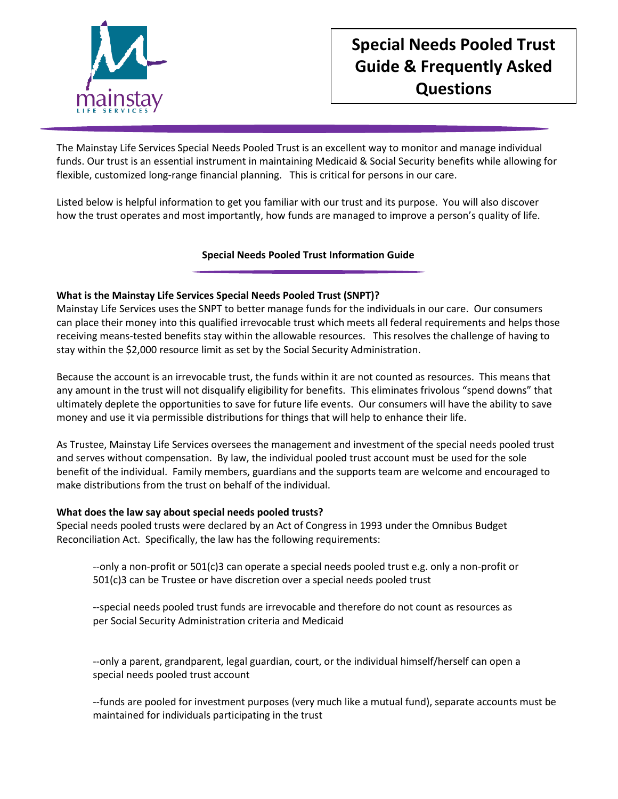

# **Special Needs Pooled Trust Guide & Frequently Asked Questions**

The Mainstay Life Services Special Needs Pooled Trust is an excellent way to monitor and manage individual funds. Our trust is an essential instrument in maintaining Medicaid & Social Security benefits while allowing for flexible, customized long-range financial planning. This is critical for persons in our care.

Listed below is helpful information to get you familiar with our trust and its purpose. You will also discover how the trust operates and most importantly, how funds are managed to improve a person's quality of life.

# **Special Needs Pooled Trust Information Guide**

## **What is the Mainstay Life Services Special Needs Pooled Trust (SNPT)?**

Mainstay Life Services uses the SNPT to better manage funds for the individuals in our care. Our consumers can place their money into this qualified irrevocable trust which meets all federal requirements and helps those receiving means-tested benefits stay within the allowable resources. This resolves the challenge of having to stay within the \$2,000 resource limit as set by the Social Security Administration.

Because the account is an irrevocable trust, the funds within it are not counted as resources. This means that any amount in the trust will not disqualify eligibility for benefits. This eliminates frivolous "spend downs" that ultimately deplete the opportunities to save for future life events. Our consumers will have the ability to save money and use it via permissible distributions for things that will help to enhance their life.

As Trustee, Mainstay Life Services oversees the management and investment of the special needs pooled trust and serves without compensation. By law, the individual pooled trust account must be used for the sole benefit of the individual. Family members, guardians and the supports team are welcome and encouraged to make distributions from the trust on behalf of the individual.

## **What does the law say about special needs pooled trusts?**

Special needs pooled trusts were declared by an Act of Congress in 1993 under the Omnibus Budget Reconciliation Act. Specifically, the law has the following requirements:

--only a non-profit or 501(c)3 can operate a special needs pooled trust e.g. only a non-profit or 501(c)3 can be Trustee or have discretion over a special needs pooled trust

--special needs pooled trust funds are irrevocable and therefore do not count as resources as per Social Security Administration criteria and Medicaid

--only a parent, grandparent, legal guardian, court, or the individual himself/herself can open a special needs pooled trust account

--funds are pooled for investment purposes (very much like a mutual fund), separate accounts must be maintained for individuals participating in the trust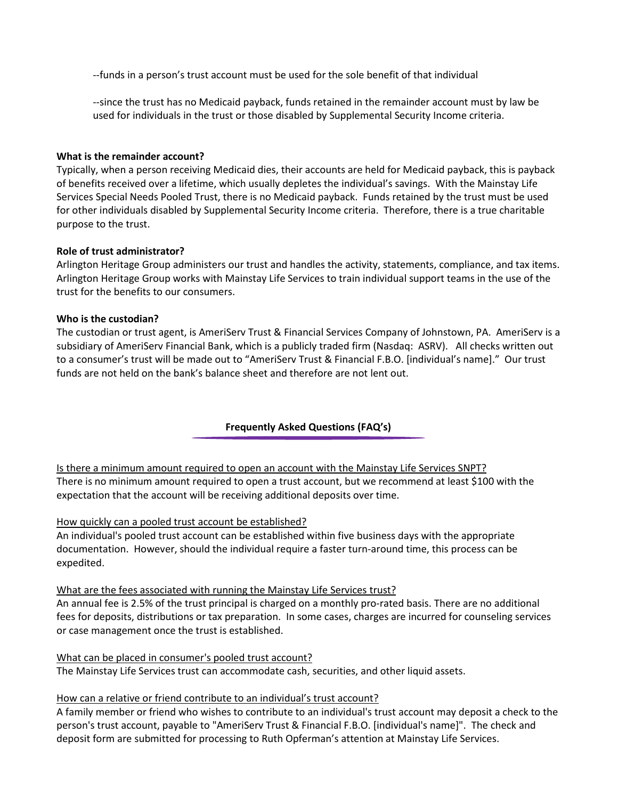--funds in a person's trust account must be used for the sole benefit of that individual

--since the trust has no Medicaid payback, funds retained in the remainder account must by law be used for individuals in the trust or those disabled by Supplemental Security Income criteria.

## **What is the remainder account?**

Typically, when a person receiving Medicaid dies, their accounts are held for Medicaid payback, this is payback of benefits received over a lifetime, which usually depletes the individual's savings. With the Mainstay Life Services Special Needs Pooled Trust, there is no Medicaid payback. Funds retained by the trust must be used for other individuals disabled by Supplemental Security Income criteria. Therefore, there is a true charitable purpose to the trust.

## **Role of trust administrator?**

Arlington Heritage Group administers our trust and handles the activity, statements, compliance, and tax items. Arlington Heritage Group works with Mainstay Life Services to train individual support teams in the use of the trust for the benefits to our consumers.

## **Who is the custodian?**

The custodian or trust agent, is AmeriServ Trust & Financial Services Company of Johnstown, PA. AmeriServ is a subsidiary of AmeriServ Financial Bank, which is a publicly traded firm (Nasdaq: ASRV). All checks written out to a consumer's trust will be made out to "AmeriServ Trust & Financial F.B.O. [individual's name]." Our trust funds are not held on the bank's balance sheet and therefore are not lent out.

# **Frequently Asked Questions (FAQ's)**

[Is there a minimum amount required to open an account](javascript:;) with the Mainstay Life Services SNPT? There is no minimum amount required to open a trust account, but we recommend at least \$100 with the expectation that the account will be receiving additional deposits over time.

## [How quickly can a pooled trust account be established?](javascript:;)

An individual's pooled trust account can be established within five business days with the appropriate documentation. However, should the individual require a faster turn-around time, this process can be expedited.

#### What are [the fees associated with running the Mainstay Life Services](javascript:;) trust?

An annual fee is 2.5% of the trust principal is charged on a monthly pro-rated basis. There are no additional fees for deposits, distributions or tax preparation. In some cases, charges are incurred for counseling services or case management once the trust is established.

#### [What can be placed in consumer's pooled trust account?](javascript:;)

The Mainstay Life Services trust can accommodate cash, securities, and other liquid assets.

## [How can a relative or friend contribute to an individual's trust](javascript:;) account?

A family member or friend who wishes to contribute to an individual's trust account may deposit a check to the person's trust account, payable to "AmeriServ Trust & Financial F.B.O. [individual's name]". The check and deposit form are submitted for processing to Ruth Opferman's attention at Mainstay Life Services.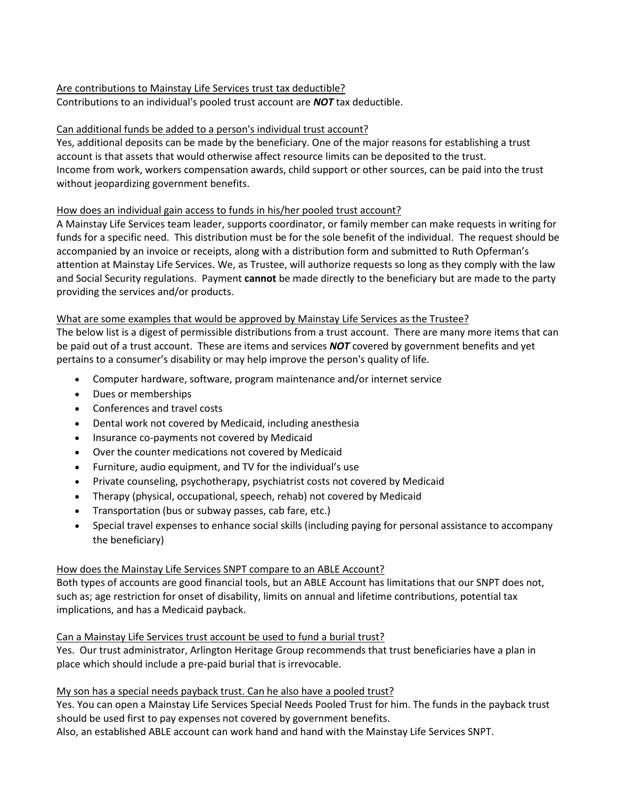# Are contributions to [Mainstay Life Services trust tax deductible?](javascript:;)

Contributions to an individual's pooled trust account are *NOT* tax deductible.

# Can [additional funds be added to a person's individual trust account?](javascript:;)

Yes, additional deposits can be made by the beneficiary. One of the major reasons for establishing a trust account is that assets that would otherwise affect resource limits can be deposited to the trust. Income from work, workers compensation awards, child support or other sources, can be paid into the trust without jeopardizing government benefits.

# [How does an individual gain access to funds in his/her pooled](javascript:;) trust account?

A Mainstay Life Services team leader, supports coordinator, or family member can make requests in writing for funds for a specific need. This distribution must be for the sole benefit of the individual. The request should be accompanied by an invoice or receipts, along with a distribution form and submitted to Ruth Opferman's attention at Mainstay Life Services. We, as Trustee, will authorize requests so long as they comply with the law and Social Security regulations. Payment **cannot** be made directly to the beneficiary but are made to the party providing the services and/or products.

# [What are some examples that would be approved by Mainstay Life Services as the Trustee?](javascript:;)

The below list is a digest of permissible distributions from a trust account. There are many more items that can be paid out of a trust account. These are items and services *NOT* covered by government benefits and yet pertains to a consumer's disability or may help improve the person's quality of life.

- Computer hardware, software, program maintenance and/or internet service
- Dues or memberships
- Conferences and travel costs
- Dental work not covered by Medicaid, including anesthesia
- Insurance co-payments not covered by Medicaid
- Over the counter medications not covered by Medicaid
- Furniture, audio equipment, and TV for the individual's use
- Private counseling, psychotherapy, psychiatrist costs not covered by Medicaid
- Therapy (physical, occupational, speech, rehab) not covered by Medicaid
- Transportation (bus or subway passes, cab fare, etc.)
- Special travel expenses to enhance social skills (including paying for personal assistance to accompany the beneficiary)

# How does the Mainstay Life Services SNPT compare to an ABLE Account?

Both types of accounts are good financial tools, but an ABLE Account has limitations that our SNPT does not, such as; age restriction for onset of disability, limits on annual and lifetime contributions, potential tax implications, and has a Medicaid payback.

# Can a Mainstay Life Services [trust account be used to fund a burial trust?](javascript:;)

Yes. Our trust administrator, Arlington Heritage Group recommends that trust beneficiaries have a plan in place which should include a pre-paid burial that is irrevocable.

# [My son has a special needs payback trust. Can he also have a pooled trust?](javascript:;)

Yes. You can open a Mainstay Life Services Special Needs Pooled Trust for him. The funds in the payback trust should be used first to pay expenses not covered by government benefits.

Also, an established ABLE account can work hand and hand with the Mainstay Life Services SNPT.